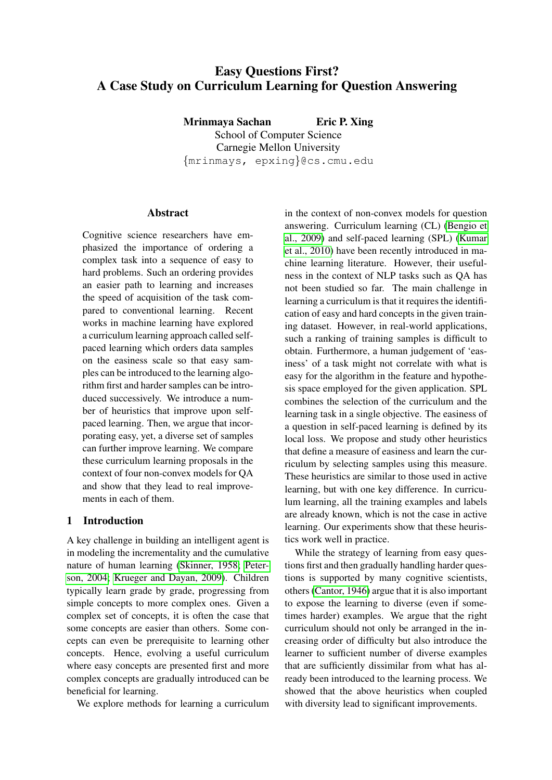# Easy Questions First? A Case Study on Curriculum Learning for Question Answering

Mrinmaya Sachan Eric P. Xing School of Computer Science Carnegie Mellon University {mrinmays, epxing}@cs.cmu.edu

## **Abstract**

Cognitive science researchers have emphasized the importance of ordering a complex task into a sequence of easy to hard problems. Such an ordering provides an easier path to learning and increases the speed of acquisition of the task compared to conventional learning. Recent works in machine learning have explored a curriculum learning approach called selfpaced learning which orders data samples on the easiness scale so that easy samples can be introduced to the learning algorithm first and harder samples can be introduced successively. We introduce a number of heuristics that improve upon selfpaced learning. Then, we argue that incorporating easy, yet, a diverse set of samples can further improve learning. We compare these curriculum learning proposals in the context of four non-convex models for QA and show that they lead to real improvements in each of them.

## 1 Introduction

A key challenge in building an intelligent agent is in modeling the incrementality and the cumulative nature of human learning [\(Skinner, 1958;](#page-10-0) [Peter](#page-10-1)[son, 2004;](#page-10-1) [Krueger and Dayan, 2009\)](#page-9-0). Children typically learn grade by grade, progressing from simple concepts to more complex ones. Given a complex set of concepts, it is often the case that some concepts are easier than others. Some concepts can even be prerequisite to learning other concepts. Hence, evolving a useful curriculum where easy concepts are presented first and more complex concepts are gradually introduced can be beneficial for learning.

We explore methods for learning a curriculum

in the context of non-convex models for question answering. Curriculum learning (CL) [\(Bengio et](#page-9-1) [al., 2009\)](#page-9-1) and self-paced learning (SPL) [\(Kumar](#page-9-2) [et al., 2010\)](#page-9-2) have been recently introduced in machine learning literature. However, their usefulness in the context of NLP tasks such as QA has not been studied so far. The main challenge in learning a curriculum is that it requires the identification of easy and hard concepts in the given training dataset. However, in real-world applications, such a ranking of training samples is difficult to obtain. Furthermore, a human judgement of 'easiness' of a task might not correlate with what is easy for the algorithm in the feature and hypothesis space employed for the given application. SPL combines the selection of the curriculum and the learning task in a single objective. The easiness of a question in self-paced learning is defined by its local loss. We propose and study other heuristics that define a measure of easiness and learn the curriculum by selecting samples using this measure. These heuristics are similar to those used in active learning, but with one key difference. In curriculum learning, all the training examples and labels are already known, which is not the case in active learning. Our experiments show that these heuristics work well in practice.

While the strategy of learning from easy questions first and then gradually handling harder questions is supported by many cognitive scientists, others [\(Cantor, 1946\)](#page-9-3) argue that it is also important to expose the learning to diverse (even if sometimes harder) examples. We argue that the right curriculum should not only be arranged in the increasing order of difficulty but also introduce the learner to sufficient number of diverse examples that are sufficiently dissimilar from what has already been introduced to the learning process. We showed that the above heuristics when coupled with diversity lead to significant improvements.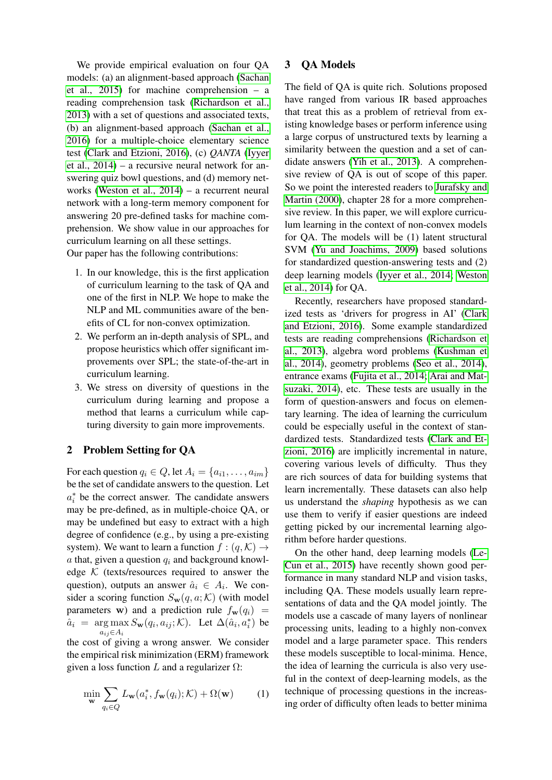We provide empirical evaluation on four QA models: (a) an alignment-based approach [\(Sachan](#page-10-2) [et al., 2015\)](#page-10-2) for machine comprehension – a reading comprehension task [\(Richardson et al.,](#page-10-3) [2013\)](#page-10-3) with a set of questions and associated texts, (b) an alignment-based approach [\(Sachan et al.,](#page-10-4) [2016\)](#page-10-4) for a multiple-choice elementary science test [\(Clark and Etzioni, 2016\)](#page-9-4), (c) *QANTA* [\(Iyyer](#page-9-5) [et al., 2014\)](#page-9-5) – a recursive neural network for answering quiz bowl questions, and (d) memory networks [\(Weston et al., 2014\)](#page-10-5) – a recurrent neural network with a long-term memory component for answering 20 pre-defined tasks for machine comprehension. We show value in our approaches for curriculum learning on all these settings. Our paper has the following contributions:

- 1. In our knowledge, this is the first application of curriculum learning to the task of QA and one of the first in NLP. We hope to make the NLP and ML communities aware of the benefits of CL for non-convex optimization.
- 2. We perform an in-depth analysis of SPL, and propose heuristics which offer significant improvements over SPL; the state-of-the-art in curriculum learning.
- 3. We stress on diversity of questions in the curriculum during learning and propose a method that learns a curriculum while capturing diversity to gain more improvements.

## 2 Problem Setting for QA

For each question  $q_i \in Q$ , let  $A_i = \{a_{i1}, \ldots, a_{im}\}\$ be the set of candidate answers to the question. Let  $a_i^*$  be the correct answer. The candidate answers may be pre-defined, as in multiple-choice QA, or may be undefined but easy to extract with a high degree of confidence (e.g., by using a pre-existing system). We want to learn a function  $f : (q, \mathcal{K}) \rightarrow$ a that, given a question  $q_i$  and background knowledge  $K$  (texts/resources required to answer the question), outputs an answer  $\hat{a}_i \in A_i$ . We consider a scoring function  $S_w(q, a; \mathcal{K})$  (with model parameters w) and a prediction rule  $f_{\bf w}(q_i)$  =  $\hat{a}_i$  = arg max  $S_{\mathbf{w}}(q_i, a_{ij}; \mathcal{K})$ . Let  $\Delta(\hat{a}_i, a_i^*)$  be  $a_{ij} \in A_i$ the cost of giving a wrong answer. We consider

the empirical risk minimization (ERM) framework given a loss function L and a regularizer  $\Omega$ :

$$
\min_{\mathbf{w}} \sum_{q_i \in Q} L_{\mathbf{w}}(a_i^*, f_{\mathbf{w}}(q_i); \mathcal{K}) + \Omega(\mathbf{w}) \tag{1}
$$

## 3 QA Models

The field of QA is quite rich. Solutions proposed have ranged from various IR based approaches that treat this as a problem of retrieval from existing knowledge bases or perform inference using a large corpus of unstructured texts by learning a similarity between the question and a set of candidate answers [\(Yih et al., 2013\)](#page-10-6). A comprehensive review of QA is out of scope of this paper. So we point the interested readers to [Jurafsky and](#page-9-6) [Martin \(2000\)](#page-9-6), chapter 28 for a more comprehensive review. In this paper, we will explore curriculum learning in the context of non-convex models for QA. The models will be (1) latent structural SVM [\(Yu and Joachims, 2009\)](#page-10-7) based solutions for standardized question-answering tests and (2) deep learning models [\(Iyyer et al., 2014;](#page-9-5) [Weston](#page-10-5) [et al., 2014\)](#page-10-5) for QA.

Recently, researchers have proposed standardized tests as 'drivers for progress in AI' [\(Clark](#page-9-4) [and Etzioni, 2016\)](#page-9-4). Some example standardized tests are reading comprehensions [\(Richardson et](#page-10-3) [al., 2013\)](#page-10-3), algebra word problems [\(Kushman et](#page-9-7) [al., 2014\)](#page-9-7), geometry problems [\(Seo et al., 2014\)](#page-10-8), entrance exams [\(Fujita et al., 2014;](#page-9-8) [Arai and Mat](#page-9-9)[suzaki, 2014\)](#page-9-9), etc. These tests are usually in the form of question-answers and focus on elementary learning. The idea of learning the curriculum could be especially useful in the context of standardized tests. Standardized tests [\(Clark and Et](#page-9-4)[zioni, 2016\)](#page-9-4) are implicitly incremental in nature, covering various levels of difficulty. Thus they are rich sources of data for building systems that learn incrementally. These datasets can also help us understand the *shaping* hypothesis as we can use them to verify if easier questions are indeed getting picked by our incremental learning algorithm before harder questions.

On the other hand, deep learning models [\(Le-](#page-9-10)[Cun et al., 2015\)](#page-9-10) have recently shown good performance in many standard NLP and vision tasks, including QA. These models usually learn representations of data and the QA model jointly. The models use a cascade of many layers of nonlinear processing units, leading to a highly non-convex model and a large parameter space. This renders these models susceptible to local-minima. Hence, the idea of learning the curricula is also very useful in the context of deep-learning models, as the technique of processing questions in the increasing order of difficulty often leads to better minima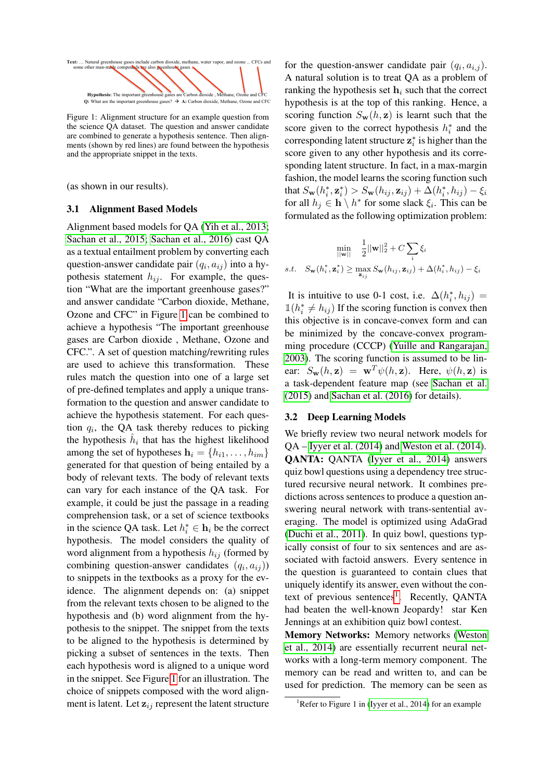<span id="page-2-0"></span>

Figure 1: Alignment structure for an example question from the science QA dataset. The question and answer candidate are combined to generate a hypothesis sentence. Then alignments (shown by red lines) are found between the hypothesis and the appropriate snippet in the texts.

(as shown in our results).

#### <span id="page-2-2"></span>3.1 Alignment Based Models

Alignment based models for QA [\(Yih et al., 2013;](#page-10-6) [Sachan et al., 2015;](#page-10-2) [Sachan et al., 2016\)](#page-10-4) cast QA as a textual entailment problem by converting each question-answer candidate pair  $(q_i, a_{ij})$  into a hypothesis statement  $h_{ij}$ . For example, the question "What are the important greenhouse gases?" and answer candidate "Carbon dioxide, Methane, Ozone and CFC" in Figure [1](#page-2-0) can be combined to achieve a hypothesis "The important greenhouse gases are Carbon dioxide , Methane, Ozone and CFC.". A set of question matching/rewriting rules are used to achieve this transformation. These rules match the question into one of a large set of pre-defined templates and apply a unique transformation to the question and answer candidate to achieve the hypothesis statement. For each question  $q_i$ , the QA task thereby reduces to picking the hypothesis  $\hat{h}_i$  that has the highest likelihood among the set of hypotheses  $\mathbf{h}_i = \{h_{i1}, \dots, h_{im}\}\$ generated for that question of being entailed by a body of relevant texts. The body of relevant texts can vary for each instance of the QA task. For example, it could be just the passage in a reading comprehension task, or a set of science textbooks in the science QA task. Let  $h_i^* \in \mathbf{h}_i$  be the correct hypothesis. The model considers the quality of word alignment from a hypothesis  $h_{ij}$  (formed by combining question-answer candidates  $(q_i, a_{ij})$ ) to snippets in the textbooks as a proxy for the evidence. The alignment depends on: (a) snippet from the relevant texts chosen to be aligned to the hypothesis and (b) word alignment from the hypothesis to the snippet. The snippet from the texts to be aligned to the hypothesis is determined by picking a subset of sentences in the texts. Then each hypothesis word is aligned to a unique word in the snippet. See Figure [1](#page-2-0) for an illustration. The choice of snippets composed with the word alignment is latent. Let  $z_{ij}$  represent the latent structure

for the question-answer candidate pair  $(q_i, a_{i,j})$ . A natural solution is to treat QA as a problem of ranking the hypothesis set  $h_i$  such that the correct hypothesis is at the top of this ranking. Hence, a scoring function  $S_w(h, z)$  is learnt such that the score given to the correct hypothesis  $h_i^*$  and the corresponding latent structure  $z_i^*$  is higher than the score given to any other hypothesis and its corresponding latent structure. In fact, in a max-margin fashion, the model learns the scoring function such that  $S_{\bf w}(h_i^*, \mathbf{z}_i^*) > S_{\bf w}(h_{ij}, \mathbf{z}_{ij}) + \Delta(h_i^*, h_{ij}) - \xi_i$ for all  $h_j \in \mathbf{h} \setminus h^*$  for some slack  $\xi_i$ . This can be formulated as the following optimization problem:

$$
\min_{||\mathbf{w}||} \quad \frac{1}{2} ||\mathbf{w}||_2^2 + C \sum_i \xi_i
$$
  
s.t. 
$$
S_{\mathbf{w}}(h_i^*, \mathbf{z}_i^*) \ge \max_{\mathbf{z}_{ij}} S_{\mathbf{w}}(h_{ij}, \mathbf{z}_{ij}) + \Delta(h_i^*, h_{ij}) - \xi_i
$$

It is intuitive to use 0-1 cost, i.e.  $\Delta(h_i^*, h_{ij}) =$  $\mathbb{1}(h_i^* \neq h_{ij})$  If the scoring function is convex then this objective is in concave-convex form and can be minimized by the concave-convex programming procedure (CCCP) [\(Yuille and Rangarajan,](#page-10-9) [2003\)](#page-10-9). The scoring function is assumed to be linear:  $S_{\mathbf{w}}(h, \mathbf{z}) = \mathbf{w}^T \psi(h, \mathbf{z})$ . Here,  $\psi(h, \mathbf{z})$  is a task-dependent feature map (see [Sachan et al.](#page-10-2) [\(2015\)](#page-10-2) and [Sachan et al. \(2016\)](#page-10-4) for details).

#### <span id="page-2-3"></span>3.2 Deep Learning Models

We briefly review two neural network models for QA – [Iyyer et al. \(2014\)](#page-9-5) and [Weston et al. \(2014\)](#page-10-5). QANTA: QANTA [\(Iyyer et al., 2014\)](#page-9-5) answers quiz bowl questions using a dependency tree structured recursive neural network. It combines predictions across sentences to produce a question answering neural network with trans-sentential averaging. The model is optimized using AdaGrad [\(Duchi et al., 2011\)](#page-9-11). In quiz bowl, questions typically consist of four to six sentences and are associated with factoid answers. Every sentence in the question is guaranteed to contain clues that uniquely identify its answer, even without the con-text of previous sentences<sup>[1](#page-2-1)</sup>. Recently, QANTA had beaten the well-known Jeopardy! star Ken Jennings at an exhibition quiz bowl contest.

Memory Networks: Memory networks [\(Weston](#page-10-5) [et al., 2014\)](#page-10-5) are essentially recurrent neural networks with a long-term memory component. The memory can be read and written to, and can be used for prediction. The memory can be seen as

<span id="page-2-1"></span><sup>&</sup>lt;sup>1</sup>Refer to Figure 1 in [\(Iyyer et al., 2014\)](#page-9-5) for an example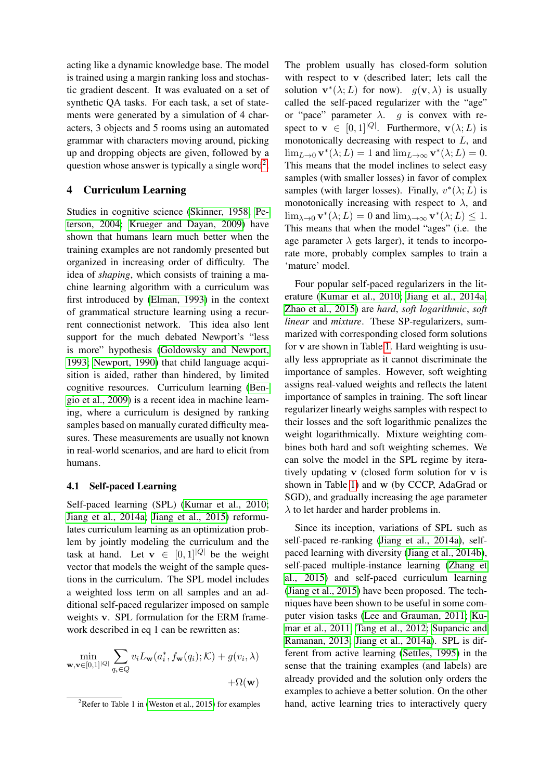acting like a dynamic knowledge base. The model is trained using a margin ranking loss and stochastic gradient descent. It was evaluated on a set of synthetic QA tasks. For each task, a set of statements were generated by a simulation of 4 characters, 3 objects and 5 rooms using an automated grammar with characters moving around, picking up and dropping objects are given, followed by a question whose answer is typically a single word<sup>[2](#page-3-0)</sup>.

## <span id="page-3-1"></span>4 Curriculum Learning

Studies in cognitive science [\(Skinner, 1958;](#page-10-0) [Pe](#page-10-1)[terson, 2004;](#page-10-1) [Krueger and Dayan, 2009\)](#page-9-0) have shown that humans learn much better when the training examples are not randomly presented but organized in increasing order of difficulty. The idea of *shaping*, which consists of training a machine learning algorithm with a curriculum was first introduced by [\(Elman, 1993\)](#page-9-12) in the context of grammatical structure learning using a recurrent connectionist network. This idea also lent support for the much debated Newport's "less is more" hypothesis [\(Goldowsky and Newport,](#page-9-13) [1993;](#page-9-13) [Newport, 1990\)](#page-9-14) that child language acquisition is aided, rather than hindered, by limited cognitive resources. Curriculum learning [\(Ben](#page-9-1)[gio et al., 2009\)](#page-9-1) is a recent idea in machine learning, where a curriculum is designed by ranking samples based on manually curated difficulty measures. These measurements are usually not known in real-world scenarios, and are hard to elicit from humans.

#### 4.1 Self-paced Learning

Self-paced learning (SPL) [\(Kumar et al., 2010;](#page-9-2) [Jiang et al., 2014a;](#page-9-15) [Jiang et al., 2015\)](#page-9-16) reformulates curriculum learning as an optimization problem by jointly modeling the curriculum and the task at hand. Let  $\mathbf{v} \in [0,1]^{|Q|}$  be the weight vector that models the weight of the sample questions in the curriculum. The SPL model includes a weighted loss term on all samples and an additional self-paced regularizer imposed on sample weights v. SPL formulation for the ERM framework described in eq 1 can be rewritten as:

$$
\min_{\mathbf{w},\mathbf{v}\in[0,1]^{|Q|}} \sum_{q_i\in Q} v_i L_{\mathbf{w}}(a_i^*, f_{\mathbf{w}}(q_i); \mathcal{K}) + g(v_i, \lambda) + \Omega(\mathbf{w})
$$

The problem usually has closed-form solution with respect to v (described later; lets call the solution  $\mathbf{v}^*(\lambda; L)$  for now).  $g(\mathbf{v}, \lambda)$  is usually called the self-paced regularizer with the "age" or "pace" parameter  $\lambda$ . g is convex with respect to  $\mathbf{v} \in [0,1]^{|Q|}$ . Furthermore,  $\mathbf{v}(\lambda;L)$  is monotonically decreasing with respect to  $L$ , and  $\lim_{L\to 0} \mathbf{v}^*(\lambda;L) = 1$  and  $\lim_{L\to\infty} \mathbf{v}^*(\lambda;L) = 0$ . This means that the model inclines to select easy samples (with smaller losses) in favor of complex samples (with larger losses). Finally,  $v^*(\lambda; L)$  is monotonically increasing with respect to  $\lambda$ , and  $\lim_{\lambda \to 0} \mathbf{v}^*(\lambda; L) = 0$  and  $\lim_{\lambda \to \infty} \mathbf{v}^*(\lambda; L) \leq 1$ . This means that when the model "ages" (i.e. the age parameter  $\lambda$  gets larger), it tends to incorporate more, probably complex samples to train a 'mature' model.

Four popular self-paced regularizers in the literature [\(Kumar et al., 2010;](#page-9-2) [Jiang et al., 2014a;](#page-9-15) [Zhao et al., 2015\)](#page-10-11) are *hard*, *soft logarithmic*, *soft linear* and *mixture*. These SP-regularizers, summarized with corresponding closed form solutions for v are shown in Table [1.](#page-4-0) Hard weighting is usually less appropriate as it cannot discriminate the importance of samples. However, soft weighting assigns real-valued weights and reflects the latent importance of samples in training. The soft linear regularizer linearly weighs samples with respect to their losses and the soft logarithmic penalizes the weight logarithmically. Mixture weighting combines both hard and soft weighting schemes. We can solve the model in the SPL regime by iteratively updating v (closed form solution for v is shown in Table [1\)](#page-4-0) and w (by CCCP, AdaGrad or SGD), and gradually increasing the age parameter  $\lambda$  to let harder and harder problems in.

Since its inception, variations of SPL such as self-paced re-ranking [\(Jiang et al., 2014a\)](#page-9-15), selfpaced learning with diversity [\(Jiang et al., 2014b\)](#page-9-17), self-paced multiple-instance learning [\(Zhang et](#page-10-12) [al., 2015\)](#page-10-12) and self-paced curriculum learning [\(Jiang et al., 2015\)](#page-9-16) have been proposed. The techniques have been shown to be useful in some computer vision tasks [\(Lee and Grauman, 2011;](#page-9-18) [Ku](#page-9-19)[mar et al., 2011;](#page-9-19) [Tang et al., 2012;](#page-10-13) [Supancic and](#page-10-14) [Ramanan, 2013;](#page-10-14) [Jiang et al., 2014a\)](#page-9-15). SPL is different from active learning [\(Settles, 1995\)](#page-10-15) in the sense that the training examples (and labels) are already provided and the solution only orders the examples to achieve a better solution. On the other hand, active learning tries to interactively query

<span id="page-3-0"></span><sup>&</sup>lt;sup>2</sup>Refer to Table 1 in [\(Weston et al., 2015\)](#page-10-10) for examples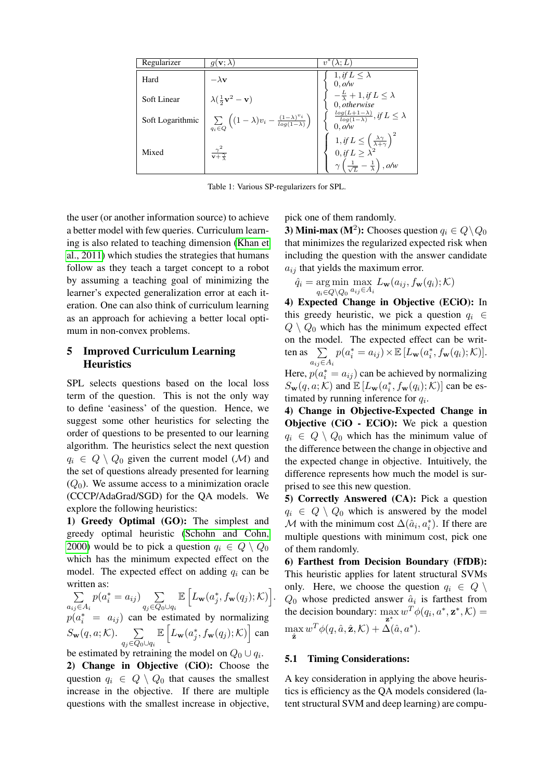<span id="page-4-0"></span>

| Regularizer      | $g(\mathbf{v};\lambda)$                                                                      | $(\lambda;L)$<br>$v^*$                                                                                                                                              |
|------------------|----------------------------------------------------------------------------------------------|---------------------------------------------------------------------------------------------------------------------------------------------------------------------|
| Hard             | $-\lambda \mathbf{v}$                                                                        | $1, if L \leq \lambda$<br>0, o/w                                                                                                                                    |
| Soft Linear      | $\lambda(\frac{1}{2}\mathbf{v}^2-\mathbf{v})$                                                | $-\frac{L}{\lambda}+1,$ if $L\leq\lambda$<br>$0, \hat{otherwise}$                                                                                                   |
| Soft Logarithmic | $\sum_{q_i \in Q} \left( (1-\lambda)v_i - \frac{(1-\lambda)^{v_i}}{\log(1-\lambda)} \right)$ | $\int \frac{\log(L+1-\lambda)}{\log(1-\lambda)}, \text{if } L \leq \lambda$<br>$0$ , $o/w$                                                                          |
| Mixed            | $\frac{\gamma^2}{\mathbf{v}+\mathbf{x}}$                                                     | 1, if $L \leq \left(\frac{\lambda \gamma}{\lambda + \gamma}\right)^2$<br>0, if $L \geq \lambda^2$<br>$\gamma\left(\frac{1}{\sqrt{L}}-\frac{1}{\lambda}\right),$ o/w |

Table 1: Various SP-regularizers for SPL.

the user (or another information source) to achieve a better model with few queries. Curriculum learning is also related to teaching dimension [\(Khan et](#page-9-20) [al., 2011\)](#page-9-20) which studies the strategies that humans follow as they teach a target concept to a robot by assuming a teaching goal of minimizing the learner's expected generalization error at each iteration. One can also think of curriculum learning as an approach for achieving a better local optimum in non-convex problems.

## <span id="page-4-1"></span>5 Improved Curriculum Learning **Heuristics**

SPL selects questions based on the local loss term of the question. This is not the only way to define 'easiness' of the question. Hence, we suggest some other heuristics for selecting the order of questions to be presented to our learning algorithm. The heuristics select the next question  $q_i \in Q \setminus Q_0$  given the current model (M) and the set of questions already presented for learning  $(Q_0)$ . We assume access to a minimization oracle (CCCP/AdaGrad/SGD) for the QA models. We explore the following heuristics:

1) Greedy Optimal (GO): The simplest and greedy optimal heuristic [\(Schohn and Cohn,](#page-10-16) [2000\)](#page-10-16) would be to pick a question  $q_i \in Q \setminus Q_0$ which has the minimum expected effect on the model. The expected effect on adding  $q_i$  can be written as:

 $\sum$  $a_{ij}$ ∈ $A_i$  $p(a_i^* = a_{ij})$   $\sum$  $q_j \in Q_0 \cup q_i$  $\mathbb{E}\left[ L_{\textbf{w}}(a_{j}^{*},f_{\textbf{w}}(q_{j});\mathcal{K})\right]$ .  $p(a_i^* = a_{ij})$  can be estimated by normalizing  $S_{\mathbf{w}}(q, a; \mathcal{K})$ .  $\sum$  $q_j \in Q_0 \cup q_i$  $\mathbb{E}\left[ L_{\mathbf{w}}(a_j^*, f_{\mathbf{w}}(q_j); \mathcal{K}) \right]$  can

be estimated by retraining the model on  $Q_0 \cup q_i$ .

2) Change in Objective (CiO): Choose the question  $q_i \in Q \setminus Q_0$  that causes the smallest increase in the objective. If there are multiple questions with the smallest increase in objective,

pick one of them randomly.

3) Mini-max (M<sup>2</sup>): Chooses question  $q_i \in Q \backslash Q_0$ that minimizes the regularized expected risk when including the question with the answer candidate  $a_{ij}$  that yields the maximum error.

$$
\hat{q}_i = \underset{q_i \in Q \setminus Q_0}{\arg \min} \max_{a_{ij} \in A_i} L_{\mathbf{w}}(a_{ij}, f_{\mathbf{w}}(q_i); \mathcal{K})
$$

4) Expected Change in Objective (ECiO): In this greedy heuristic, we pick a question  $q_i \in$  $Q \setminus Q_0$  which has the minimum expected effect on the model. The expected effect can be written as  $\sum$  $a_{ij} \in A_i$  $p(a_i^* = a_{ij}) \times \mathbb{E} [L_{\mathbf{w}}(a_i^*, f_{\mathbf{w}}(q_i); \mathcal{K})].$ Here,  $p(a_i^* = a_{ij})$  can be achieved by normalizing

 $S_{\mathbf{w}}(q, a; \mathcal{K})$  and  $\mathbb{E}[L_{\mathbf{w}}(a_i^*, f_{\mathbf{w}}(q_i); \mathcal{K})]$  can be estimated by running inference for  $q_i$ .

4) Change in Objective-Expected Change in Objective (CiO - ECiO): We pick a question  $q_i \in Q \setminus Q_0$  which has the minimum value of the difference between the change in objective and the expected change in objective. Intuitively, the difference represents how much the model is surprised to see this new question.

5) Correctly Answered (CA): Pick a question  $q_i \in Q \setminus Q_0$  which is answered by the model  $M$  with the minimum cost  $\Delta(\hat{a}_i, a_i^*)$ . If there are multiple questions with minimum cost, pick one of them randomly.

6) Farthest from Decision Boundary (FfDB): This heuristic applies for latent structural SVMs only. Here, we choose the question  $q_i \in Q \setminus$  $Q_0$  whose predicted answer  $\hat{a}_i$  is farthest from the decision boundary:  $\max_{\mathbf{z}^*} w^T \phi(q_i, a^*, \mathbf{z}^*, \mathcal{K}) =$  $\max_{\hat{\mathbf{z}}} w^T \phi(q, \hat{a}, \hat{\mathbf{z}}, \mathcal{K}) + \Delta(\hat{a}, a^*).$ 

#### 5.1 Timing Considerations:

A key consideration in applying the above heuristics is efficiency as the QA models considered (latent structural SVM and deep learning) are compu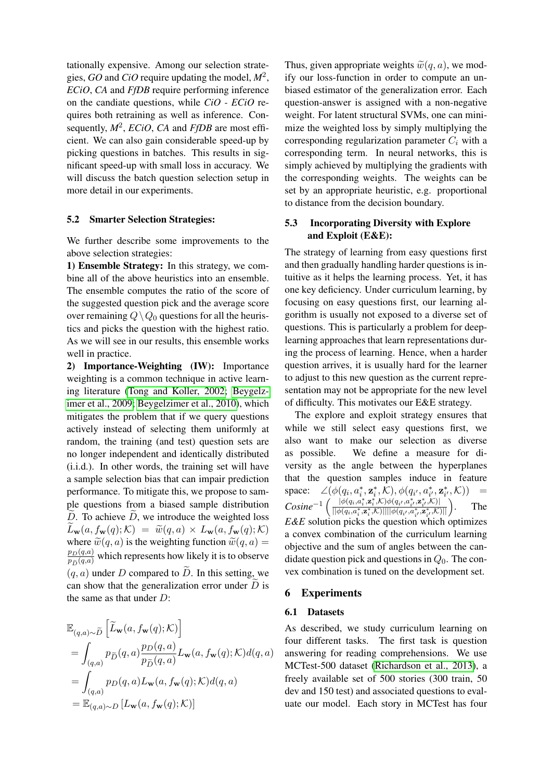tationally expensive. Among our selection strategies, *GO* and *CiO* require updating the model, *M*<sup>2</sup> , *ECiO*, *CA* and *FfDB* require performing inference on the candiate questions, while *CiO - ECiO* requires both retraining as well as inference. Consequently, *M*<sup>2</sup> , *ECiO*, *CA* and *FfDB* are most efficient. We can also gain considerable speed-up by picking questions in batches. This results in significant speed-up with small loss in accuracy. We will discuss the batch question selection setup in more detail in our experiments.

## <span id="page-5-0"></span>5.2 Smarter Selection Strategies:

We further describe some improvements to the above selection strategies:

1) Ensemble Strategy: In this strategy, we combine all of the above heuristics into an ensemble. The ensemble computes the ratio of the score of the suggested question pick and the average score over remaining  $Q \setminus Q_0$  questions for all the heuristics and picks the question with the highest ratio. As we will see in our results, this ensemble works well in practice.

2) Importance-Weighting (IW): Importance weighting is a common technique in active learning literature [\(Tong and Koller, 2002;](#page-10-17) [Beygelz](#page-9-21)[imer et al., 2009;](#page-9-21) [Beygelzimer et al., 2010\)](#page-9-22), which mitigates the problem that if we query questions actively instead of selecting them uniformly at random, the training (and test) question sets are no longer independent and identically distributed (i.i.d.). In other words, the training set will have a sample selection bias that can impair prediction performance. To mitigate this, we propose to sample questions from a biased sample distribution  $\overline{D}$ . To achieve  $D$ , we introduce the weighted loss  $L_{\mathbf{w}}(a, f_{\mathbf{w}}(q); \mathcal{K}) = \widetilde{w}(q, a) \times L_{\mathbf{w}}(a, f_{\mathbf{w}}(q); \mathcal{K})$ where  $\widetilde{w}(q, a)$  is the weighting function  $\widetilde{w}(q, a)$  =  $\frac{p_D(q,a)}{p_{\widetilde{D}}(q,a)}$  which represents how likely it is to observe  $(q, a)$  under D compared to D. In this setting, we can show that the generalization error under  $\overline{D}$  is the same as that under  $D$ :

$$
\mathbb{E}_{(q,a)\sim\widetilde{D}}\left[\widetilde{L}_{\mathbf{w}}(a, f_{\mathbf{w}}(q); \mathcal{K})\right]
$$
\n
$$
= \int_{(q,a)} p_{\widetilde{D}}(q, a) \frac{p_D(q, a)}{p_{\widetilde{D}}(q, a)} L_{\mathbf{w}}(a, f_{\mathbf{w}}(q); \mathcal{K}) d(q, a)
$$
\n
$$
= \int_{(q,a)} p_D(q, a) L_{\mathbf{w}}(a, f_{\mathbf{w}}(q); \mathcal{K}) d(q, a)
$$
\n
$$
= \mathbb{E}_{(q,a)\sim D} \left[L_{\mathbf{w}}(a, f_{\mathbf{w}}(q); \mathcal{K})\right]
$$

Thus, given appropriate weights  $\tilde{w}(q, a)$ , we modify our loss-function in order to compute an unbiased estimator of the generalization error. Each question-answer is assigned with a non-negative weight. For latent structural SVMs, one can minimize the weighted loss by simply multiplying the corresponding regularization parameter  $C_i$  with a corresponding term. In neural networks, this is simply achieved by multiplying the gradients with the corresponding weights. The weights can be set by an appropriate heuristic, e.g. proportional to distance from the decision boundary.

## 5.3 Incorporating Diversity with Explore and Exploit (E&E):

The strategy of learning from easy questions first and then gradually handling harder questions is intuitive as it helps the learning process. Yet, it has one key deficiency. Under curriculum learning, by focusing on easy questions first, our learning algorithm is usually not exposed to a diverse set of questions. This is particularly a problem for deeplearning approaches that learn representations during the process of learning. Hence, when a harder question arrives, it is usually hard for the learner to adjust to this new question as the current representation may not be appropriate for the new level of difficulty. This motivates our E&E strategy.

The explore and exploit strategy ensures that while we still select easy questions first, we also want to make our selection as diverse as possible. We define a measure for diversity as the angle between the hyperplanes that the question samples induce in feature space:  $\angle(\phi(q_i, a_i^*, \mathbf{z}_i^*, \mathcal{K}), \phi(q_{i'}, a_{i'}^*, \mathbf{z}_{i'}^*, \mathcal{K}))$  =  $Cosine^{-1}\left(\frac{|\phi(q_i, a_i^*, a_i^*, \mathcal{K})\phi(q_{i'}, a_{i'}^*, a_{i'}^*, \mathcal{K})|}{\|\phi(q_i, a_i^*, a_i^*, \mathcal{K})\| \|\phi(q_i, a_i^*, a_i^*, \mathcal{K})\|} \right)$  $\frac{|\phi(q_i, a_i^*, \mathbf{z}_i^*, \mathcal{K})\phi(q_{i'}, a_{i'}^*, \mathbf{z}_{i'}^*, \mathcal{K})||}{||\phi(q_i, a_i^*, \mathbf{z}_i^*, \mathcal{K})|| ||\phi(q_{i'}, a_i^*, \mathbf{z}_{i'}^*, \mathcal{K})||}$ . The *E&E* solution picks the question which optimizes a convex combination of the curriculum learning objective and the sum of angles between the candidate question pick and questions in  $Q_0$ . The convex combination is tuned on the development set.

## 6 Experiments

#### 6.1 Datasets

As described, we study curriculum learning on four different tasks. The first task is question answering for reading comprehensions. We use MCTest-500 dataset [\(Richardson et al., 2013\)](#page-10-3), a freely available set of 500 stories (300 train, 50 dev and 150 test) and associated questions to evaluate our model. Each story in MCTest has four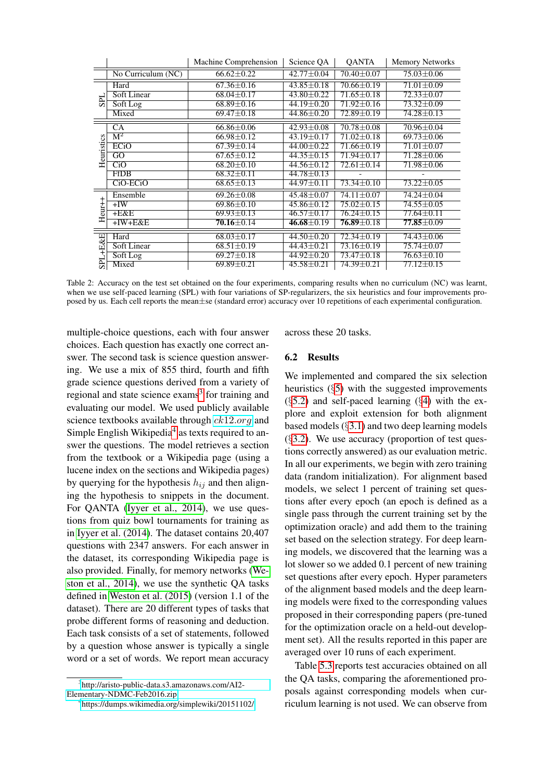<span id="page-6-2"></span>

|            |                           | Machine Comprehension | Science QA       | <b>OANTA</b>     | <b>Memory Networks</b> |
|------------|---------------------------|-----------------------|------------------|------------------|------------------------|
|            | No Curriculum (NC)        | $66.62 \pm 0.22$      | $42.77 \pm 0.04$ | $70.40 \pm 0.07$ | $75.03 \pm 0.06$       |
| <b>SPL</b> | Hard                      | $67.36 \pm 0.16$      | $43.85 \pm 0.18$ | $70.66 \pm 0.19$ | $71.01 \pm 0.09$       |
|            | <b>Soft Linear</b>        | $68.04 \pm 0.17$      | $43.80 \pm 0.22$ | $71.65 \pm 0.18$ | $72.33 \pm 0.07$       |
|            | Soft Log                  | $68.89 \pm 0.16$      | 44.19±0.20       | $71.92 \pm 0.16$ | 73.32±0.09             |
|            | Mixed                     | $69.47 \pm 0.18$      | $44.86 \pm 0.20$ | $72.89 \pm 0.19$ | $74.28 \pm 0.13$       |
| Heuristics | <b>CA</b>                 | $66.86 \pm 0.06$      | $42.93 \pm 0.08$ | $70.78 \pm 0.08$ | 70.96±0.04             |
|            | $\overline{\mathrm{M}^2}$ | $66.98 \pm 0.12$      | $43.19 \pm 0.17$ | $71.02 \pm 0.18$ | $69.73 \pm 0.06$       |
|            | ECiO                      | $67.39 \pm 0.14$      | 44.00±0.22       | 71.66±0.19       | $71.01 \pm 0.07$       |
|            | GO                        | $67.65 \pm 0.12$      | $44.35 \pm 0.15$ | $71.94 \pm 0.17$ | $71.28 \pm 0.06$       |
|            | $Ci$ <sup>O</sup>         | $68.20 \pm 0.10$      | $44.56 \pm 0.12$ | $72.61 \pm 0.14$ | 71.98±0.06             |
|            | <b>FfDB</b>               | $68.32 \pm 0.11$      | $44.78 \pm 0.13$ |                  |                        |
|            | CiO-ECiO                  | $68.65 \pm 0.13$      | $44.97 \pm 0.11$ | $73.34 \pm 0.10$ | $73.22 \pm 0.05$       |
| $Heur++$   | Ensemble                  | $69.26 \pm 0.08$      | $45.48 \pm 0.07$ | $74.11 \pm 0.07$ | 74.24±0.04             |
|            | $+IW$                     | $69.86 \pm 0.10$      | $45.86 \pm 0.12$ | $75.02 \pm 0.15$ | $74.55 \pm 0.05$       |
|            | $+E&E$                    | $69.93 \pm 0.13$      | $46.57 \pm 0.17$ | $76.24 \pm 0.15$ | $77.64 \pm 0.11$       |
|            | $+IW + E&E$               | $70.16 \pm 0.14$      | $46.68 \pm 0.19$ | $76.89 \pm 0.18$ | $77.85 \pm 0.09$       |
| SPL+E&E    | Hard                      | $68.03 \pm 0.17$      | $44.50 \pm 0.20$ | $72.34 \pm 0.19$ | $74.43 \pm 0.06$       |
|            | Soft Linear               | $68.51 \pm 0.19$      | $44.43 \pm 0.21$ | 73.16±0.19       | $75.74 \pm 0.07$       |
|            | Soft Log                  | $69.27 \pm 0.18$      | $44.92 \pm 0.20$ | $73.47 \pm 0.18$ | $76.63 \pm 0.10$       |
|            | Mixed                     | $69.89 \pm 0.21$      | $45.58 \pm 0.21$ | 74.39±0.21       | $77.12 \pm 0.15$       |

Table 2: Accuracy on the test set obtained on the four experiments, comparing results when no curriculum (NC) was learnt, when we use self-paced learning (SPL) with four variations of SP-regularizers, the six heuristics and four improvements proposed by us. Each cell reports the mean±se (standard error) accuracy over 10 repetitions of each experimental configuration.

multiple-choice questions, each with four answer choices. Each question has exactly one correct answer. The second task is science question answering. We use a mix of 855 third, fourth and fifth grade science questions derived from a variety of regional and state science exams<sup>[3](#page-6-0)</sup> for training and evaluating our model. We used publicly available science textbooks available through  $ck12.org$  $ck12.org$  and Simple English Wikipedia<sup>[4](#page-6-1)</sup> as texts required to answer the questions. The model retrieves a section from the textbook or a Wikipedia page (using a lucene index on the sections and Wikipedia pages) by querying for the hypothesis  $h_{ij}$  and then aligning the hypothesis to snippets in the document. For QANTA [\(Iyyer et al., 2014\)](#page-9-5), we use questions from quiz bowl tournaments for training as in [Iyyer et al. \(2014\)](#page-9-5). The dataset contains 20,407 questions with 2347 answers. For each answer in the dataset, its corresponding Wikipedia page is also provided. Finally, for memory networks [\(We](#page-10-5)[ston et al., 2014\)](#page-10-5), we use the synthetic QA tasks defined in [Weston et al. \(2015\)](#page-10-10) (version 1.1 of the dataset). There are 20 different types of tasks that probe different forms of reasoning and deduction. Each task consists of a set of statements, followed by a question whose answer is typically a single word or a set of words. We report mean accuracy across these 20 tasks.

## 6.2 Results

We implemented and compared the six selection heuristics (§[5\)](#page-4-1) with the suggested improvements  $(\S 5.2)$  $(\S 5.2)$  and self-paced learning  $(\S 4)$  $(\S 4)$  with the explore and exploit extension for both alignment based models (§[3.1\)](#page-2-2) and two deep learning models  $(\S3.2)$  $(\S3.2)$ . We use accuracy (proportion of test questions correctly answered) as our evaluation metric. In all our experiments, we begin with zero training data (random initialization). For alignment based models, we select 1 percent of training set questions after every epoch (an epoch is defined as a single pass through the current training set by the optimization oracle) and add them to the training set based on the selection strategy. For deep learning models, we discovered that the learning was a lot slower so we added 0.1 percent of new training set questions after every epoch. Hyper parameters of the alignment based models and the deep learning models were fixed to the corresponding values proposed in their corresponding papers (pre-tuned for the optimization oracle on a held-out development set). All the results reported in this paper are averaged over 10 runs of each experiment.

Table [5.3](#page-6-2) reports test accuracies obtained on all the QA tasks, comparing the aforementioned proposals against corresponding models when curriculum learning is not used. We can observe from

<span id="page-6-0"></span><sup>3</sup> [http://aristo-public-data.s3.amazonaws.com/AI2-](http://aristo-public-data.s3.amazonaws.com/AI2-Elementary-NDMC-Feb2016.zip) [Elementary-NDMC-Feb2016.zip](http://aristo-public-data.s3.amazonaws.com/AI2-Elementary-NDMC-Feb2016.zip)

<span id="page-6-1"></span><sup>4</sup> <https://dumps.wikimedia.org/simplewiki/20151102/>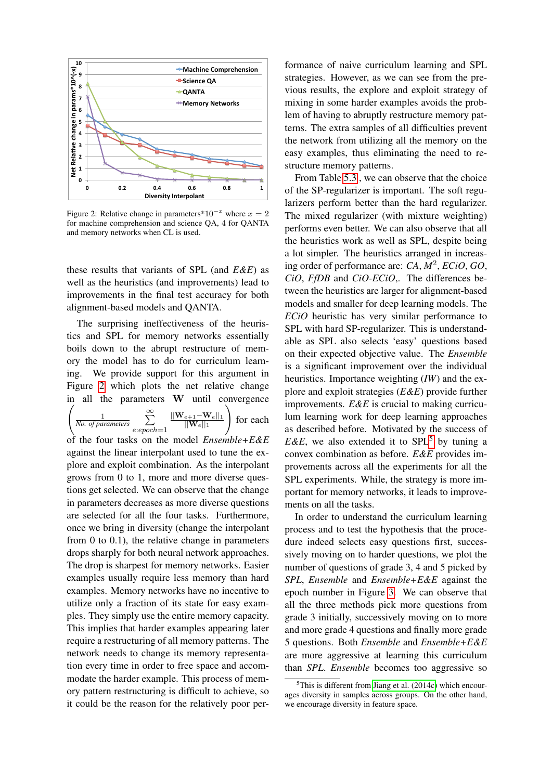<span id="page-7-0"></span>

Figure 2: Relative change in parameters\*10<sup>-x</sup> where  $x = 2$ for machine comprehension and science QA, 4 for QANTA and memory networks when CL is used.

these results that variants of SPL (and *E&E*) as well as the heuristics (and improvements) lead to improvements in the final test accuracy for both alignment-based models and QANTA.

The surprising ineffectiveness of the heuristics and SPL for memory networks essentially boils down to the abrupt restructure of memory the model has to do for curriculum learning. We provide support for this argument in Figure [2](#page-7-0) which plots the net relative change in all the parameters W until convergence  $\begin{pmatrix} 1 \end{pmatrix}$  $\frac{1}{N_o}$  *of parameters*  $\sum_{n=1}^{\infty}$ e:epoch=1  $||\mathbf{W}_{e+1}{-}\mathbf{W}_{e}||_1$  $||\mathbf{W}_e||_1$  $\setminus$ for each of the four tasks on the model *Ensemble+E&E* against the linear interpolant used to tune the explore and exploit combination. As the interpolant grows from 0 to 1, more and more diverse questions get selected. We can observe that the change in parameters decreases as more diverse questions are selected for all the four tasks. Furthermore, once we bring in diversity (change the interpolant from 0 to 0.1), the relative change in parameters drops sharply for both neural network approaches. The drop is sharpest for memory networks. Easier examples usually require less memory than hard examples. Memory networks have no incentive to utilize only a fraction of its state for easy examples. They simply use the entire memory capacity. This implies that harder examples appearing later require a restructuring of all memory patterns. The network needs to change its memory representation every time in order to free space and accommodate the harder example. This process of memory pattern restructuring is difficult to achieve, so it could be the reason for the relatively poor per-

formance of naive curriculum learning and SPL strategies. However, as we can see from the previous results, the explore and exploit strategy of mixing in some harder examples avoids the problem of having to abruptly restructure memory patterns. The extra samples of all difficulties prevent the network from utilizing all the memory on the easy examples, thus eliminating the need to restructure memory patterns.

From Table [5.3](#page-6-2) , we can observe that the choice of the SP-regularizer is important. The soft regularizers perform better than the hard regularizer. The mixed regularizer (with mixture weighting) performs even better. We can also observe that all the heuristics work as well as SPL, despite being a lot simpler. The heuristics arranged in increasing order of performance are: *CA*, *M*<sup>2</sup> , *ECiO*, *GO*, *CiO*, *FfDB* and *CiO-ECiO*,. The differences between the heuristics are larger for alignment-based models and smaller for deep learning models. The *ECiO* heuristic has very similar performance to SPL with hard SP-regularizer. This is understandable as SPL also selects 'easy' questions based on their expected objective value. The *Ensemble* is a significant improvement over the individual heuristics. Importance weighting (*IW*) and the explore and exploit strategies (*E&E*) provide further improvements. *E&E* is crucial to making curriculum learning work for deep learning approaches as described before. Motivated by the success of *E&E*, we also extended it to SPL<sup>[5](#page-7-1)</sup> by tuning a convex combination as before. *E&E* provides improvements across all the experiments for all the SPL experiments. While, the strategy is more important for memory networks, it leads to improvements on all the tasks.

In order to understand the curriculum learning process and to test the hypothesis that the procedure indeed selects easy questions first, successively moving on to harder questions, we plot the number of questions of grade 3, 4 and 5 picked by *SPL*, *Ensemble* and *Ensemble+E&E* against the epoch number in Figure [3.](#page-8-0) We can observe that all the three methods pick more questions from grade 3 initially, successively moving on to more and more grade 4 questions and finally more grade 5 questions. Both *Ensemble* and *Ensemble+E&E* are more aggressive at learning this curriculum than *SPL*. *Ensemble* becomes too aggressive so

<span id="page-7-1"></span> $5$ This is different from [Jiang et al. \(2014c\)](#page-9-23) which encourages diversity in samples across groups. On the other hand, we encourage diversity in feature space.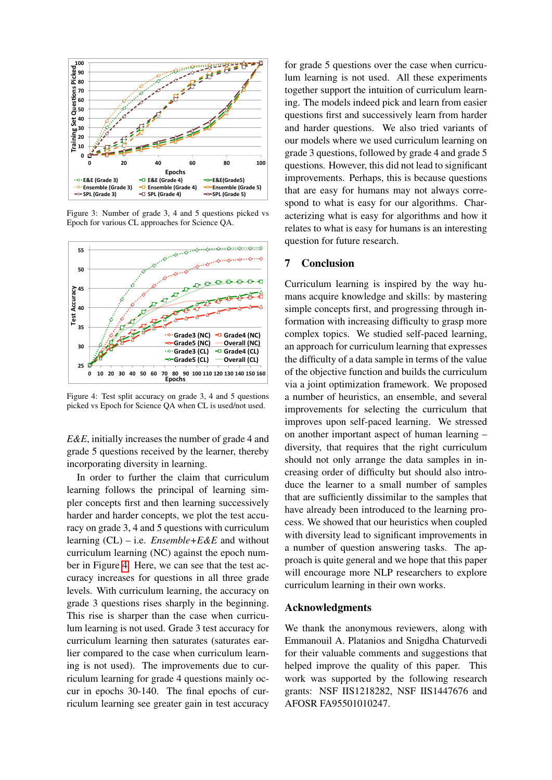<span id="page-8-0"></span>

Figure 3: Number of grade 3, 4 and 5 questions picked vs Epoch for various CL approaches for Science QA.

<span id="page-8-1"></span>

Figure 4: Test split accuracy on grade 3, 4 and 5 questions picked vs Epoch for Science QA when CL is used/not used.

*E&E*, initially increases the number of grade 4 and grade 5 questions received by the learner, thereby incorporating diversity in learning.

In order to further the claim that curriculum learning follows the principal of learning simpler concepts first and then learning successively harder and harder concepts, we plot the test accuracy on grade 3, 4 and 5 questions with curriculum learning (CL) – i.e. *Ensemble+E&E* and without curriculum learning (NC) against the epoch number in Figure [4.](#page-8-1) Here, we can see that the test accuracy increases for questions in all three grade levels. With curriculum learning, the accuracy on grade 3 questions rises sharply in the beginning. This rise is sharper than the case when curriculum learning is not used. Grade 3 test accuracy for curriculum learning then saturates (saturates earlier compared to the case when curriculum learning is not used). The improvements due to curriculum learning for grade 4 questions mainly occur in epochs 30-140. The final epochs of curriculum learning see greater gain in test accuracy

for grade 5 questions over the case when curriculum learning is not used. All these experiments together support the intuition of curriculum learning. The models indeed pick and learn from easier questions first and successively learn from harder and harder questions. We also tried variants of our models where we used curriculum learning on grade 3 questions, followed by grade 4 and grade 5 questions. However, this did not lead to significant improvements. Perhaps, this is because questions that are easy for humans may not always correspond to what is easy for our algorithms. Characterizing what is easy for algorithms and how it relates to what is easy for humans is an interesting question for future research.

## 7 Conclusion

Curriculum learning is inspired by the way humans acquire knowledge and skills: by mastering simple concepts first, and progressing through information with increasing difficulty to grasp more complex topics. We studied self-paced learning, an approach for curriculum learning that expresses the difficulty of a data sample in terms of the value of the objective function and builds the curriculum via a joint optimization framework. We proposed a number of heuristics, an ensemble, and several improvements for selecting the curriculum that improves upon self-paced learning. We stressed on another important aspect of human learning – diversity, that requires that the right curriculum should not only arrange the data samples in increasing order of difficulty but should also introduce the learner to a small number of samples that are sufficiently dissimilar to the samples that have already been introduced to the learning process. We showed that our heuristics when coupled with diversity lead to significant improvements in a number of question answering tasks. The approach is quite general and we hope that this paper will encourage more NLP researchers to explore curriculum learning in their own works.

## Acknowledgments

We thank the anonymous reviewers, along with Emmanouil A. Platanios and Snigdha Chaturvedi for their valuable comments and suggestions that helped improve the quality of this paper. This work was supported by the following research grants: NSF IIS1218282, NSF IIS1447676 and AFOSR FA95501010247.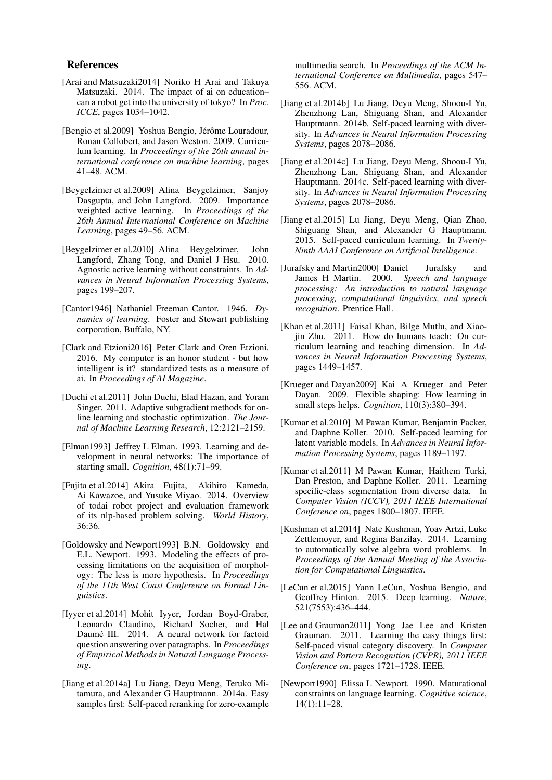#### References

- <span id="page-9-9"></span>[Arai and Matsuzaki2014] Noriko H Arai and Takuya Matsuzaki. 2014. The impact of ai on education– can a robot get into the university of tokyo? In *Proc. ICCE*, pages 1034–1042.
- <span id="page-9-1"></span>[Bengio et al.2009] Yoshua Bengio, Jérôme Louradour, Ronan Collobert, and Jason Weston. 2009. Curriculum learning. In *Proceedings of the 26th annual international conference on machine learning*, pages 41–48. ACM.
- <span id="page-9-21"></span>[Beygelzimer et al.2009] Alina Beygelzimer, Sanjoy Dasgupta, and John Langford. 2009. Importance weighted active learning. In *Proceedings of the 26th Annual International Conference on Machine Learning*, pages 49–56. ACM.
- <span id="page-9-22"></span>[Beygelzimer et al.2010] Alina Beygelzimer, John Langford, Zhang Tong, and Daniel J Hsu. 2010. Agnostic active learning without constraints. In *Advances in Neural Information Processing Systems*, pages 199–207.
- <span id="page-9-3"></span>[Cantor1946] Nathaniel Freeman Cantor. 1946. *Dynamics of learning*. Foster and Stewart publishing corporation, Buffalo, NY.
- <span id="page-9-4"></span>[Clark and Etzioni2016] Peter Clark and Oren Etzioni. 2016. My computer is an honor student - but how intelligent is it? standardized tests as a measure of ai. In *Proceedings of AI Magazine*.
- <span id="page-9-11"></span>[Duchi et al.2011] John Duchi, Elad Hazan, and Yoram Singer. 2011. Adaptive subgradient methods for online learning and stochastic optimization. *The Journal of Machine Learning Research*, 12:2121–2159.
- <span id="page-9-12"></span>[Elman1993] Jeffrey L Elman. 1993. Learning and development in neural networks: The importance of starting small. *Cognition*, 48(1):71–99.
- <span id="page-9-8"></span>[Fujita et al.2014] Akira Fujita, Akihiro Kameda, Ai Kawazoe, and Yusuke Miyao. 2014. Overview of todai robot project and evaluation framework of its nlp-based problem solving. *World History*, 36:36.
- <span id="page-9-13"></span>[Goldowsky and Newport1993] B.N. Goldowsky and E.L. Newport. 1993. Modeling the effects of processing limitations on the acquisition of morphology: The less is more hypothesis. In *Proceedings of the 11th West Coast Conference on Formal Linguistics*.
- <span id="page-9-5"></span>[Iyyer et al.2014] Mohit Iyyer, Jordan Boyd-Graber, Leonardo Claudino, Richard Socher, and Hal Daumé III. 2014. A neural network for factoid question answering over paragraphs. In *Proceedings of Empirical Methods in Natural Language Processing*.
- <span id="page-9-15"></span>[Jiang et al.2014a] Lu Jiang, Deyu Meng, Teruko Mitamura, and Alexander G Hauptmann. 2014a. Easy samples first: Self-paced reranking for zero-example

multimedia search. In *Proceedings of the ACM International Conference on Multimedia*, pages 547– 556. ACM.

- <span id="page-9-17"></span>[Jiang et al.2014b] Lu Jiang, Deyu Meng, Shoou-I Yu, Zhenzhong Lan, Shiguang Shan, and Alexander Hauptmann. 2014b. Self-paced learning with diversity. In *Advances in Neural Information Processing Systems*, pages 2078–2086.
- <span id="page-9-23"></span>[Jiang et al.2014c] Lu Jiang, Deyu Meng, Shoou-I Yu, Zhenzhong Lan, Shiguang Shan, and Alexander Hauptmann. 2014c. Self-paced learning with diversity. In *Advances in Neural Information Processing Systems*, pages 2078–2086.
- <span id="page-9-16"></span>[Jiang et al.2015] Lu Jiang, Deyu Meng, Qian Zhao, Shiguang Shan, and Alexander G Hauptmann. 2015. Self-paced curriculum learning. In *Twenty-Ninth AAAI Conference on Artificial Intelligence*.
- <span id="page-9-6"></span>[Jurafsky and Martin2000] Daniel Jurafsky and James H Martin. 2000. *Speech and language processing: An introduction to natural language processing, computational linguistics, and speech recognition*. Prentice Hall.
- <span id="page-9-20"></span>[Khan et al.2011] Faisal Khan, Bilge Mutlu, and Xiaojin Zhu. 2011. How do humans teach: On curriculum learning and teaching dimension. In *Advances in Neural Information Processing Systems*, pages 1449–1457.
- <span id="page-9-0"></span>[Krueger and Dayan2009] Kai A Krueger and Peter Dayan. 2009. Flexible shaping: How learning in small steps helps. *Cognition*, 110(3):380–394.
- <span id="page-9-2"></span>[Kumar et al.2010] M Pawan Kumar, Benjamin Packer, and Daphne Koller. 2010. Self-paced learning for latent variable models. In *Advances in Neural Information Processing Systems*, pages 1189–1197.
- <span id="page-9-19"></span>[Kumar et al.2011] M Pawan Kumar, Haithem Turki, Dan Preston, and Daphne Koller. 2011. Learning specific-class segmentation from diverse data. In *Computer Vision (ICCV), 2011 IEEE International Conference on*, pages 1800–1807. IEEE.
- <span id="page-9-7"></span>[Kushman et al.2014] Nate Kushman, Yoav Artzi, Luke Zettlemoyer, and Regina Barzilay. 2014. Learning to automatically solve algebra word problems. In *Proceedings of the Annual Meeting of the Association for Computational Linguistics*.
- <span id="page-9-10"></span>[LeCun et al.2015] Yann LeCun, Yoshua Bengio, and Geoffrey Hinton. 2015. Deep learning. *Nature*, 521(7553):436–444.
- <span id="page-9-18"></span>[Lee and Grauman2011] Yong Jae Lee and Kristen Grauman. 2011. Learning the easy things first: Self-paced visual category discovery. In *Computer Vision and Pattern Recognition (CVPR), 2011 IEEE Conference on*, pages 1721–1728. IEEE.
- <span id="page-9-14"></span>[Newport1990] Elissa L Newport. 1990. Maturational constraints on language learning. *Cognitive science*, 14(1):11–28.